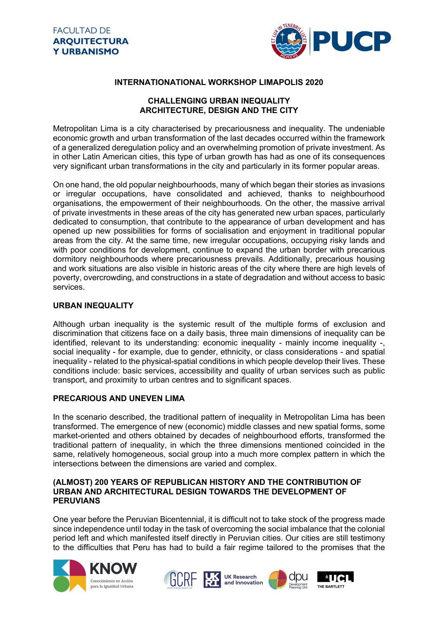

## **INTERNATIONATIONAL WORKSHOP LIMAPOLIS 2020**

## **CHALLENGING URBAN INEQUALITY ARCHITECTURE, DESIGN AND THE CITY**

Metropolitan Lima is a city characterised by precariousness and inequality. The undeniable economic growth and urban transformation of the last decades occurred within the framework of a generalized deregulation policy and an overwhelming promotion of private investment. As in other Latin American cities, this type of urban growth has had as one of its consequences very significant urban transformations in the city and particularly in its former popular areas.

On one hand, the old popular neighbourhoods, many of which began their stories as invasions or irregular occupations, have consolidated and achieved, thanks to neighbourhood organisations, the empowerment of their neighbourhoods. On the other, the massive arrival of private investments in these areas of the city has generated new urban spaces, particularly dedicated to consumption, that contribute to the appearance of urban development and has opened up new possibilities for forms of socialisation and enjoyment in traditional popular areas from the city. At the same time, new irregular occupations, occupying risky lands and with poor conditions for development, continue to expand the urban border with precarious dormitory neighbourhoods where precariousness prevails. Additionally, precarious housing and work situations are also visible in historic areas of the city where there are high levels of poverty, overcrowding, and constructions in a state of degradation and without access to basic services.

## **URBAN INEQUALITY**

Although urban inequality is the systemic result of the multiple forms of exclusion and discrimination that citizens face on a daily basis, three main dimensions of inequality can be identified, relevant to its understanding: economic inequality - mainly income inequality -, social inequality - for example, due to gender, ethnicity, or class considerations - and spatial inequality - related to the physical-spatial conditions in which people develop their lives. These conditions include: basic services, accessibility and quality of urban services such as public transport, and proximity to urban centres and to significant spaces.

### **PRECARIOUS AND UNEVEN LIMA**

In the scenario described, the traditional pattern of inequality in Metropolitan Lima has been transformed. The emergence of new (economic) middle classes and new spatial forms, some market-oriented and others obtained by decades of neighbourhood efforts, transformed the traditional pattern of inequality, in which the three dimensions mentioned coincided in the same, relatively homogeneous, social group into a much more complex pattern in which the intersections between the dimensions are varied and complex.

#### **(ALMOST) 200 YEARS OF REPUBLICAN HISTORY AND THE CONTRIBUTION OF URBAN AND ARCHITECTURAL DESIGN TOWARDS THE DEVELOPMENT OF PERUVIANS**

One year before the Peruvian Bicentennial, it is difficult not to take stock of the progress made since independence until today in the task of overcoming the social imbalance that the colonial period left and which manifested itself directly in Peruvian cities. Our cities are still testimony to the difficulties that Peru has had to build a fair regime tailored to the promises that the





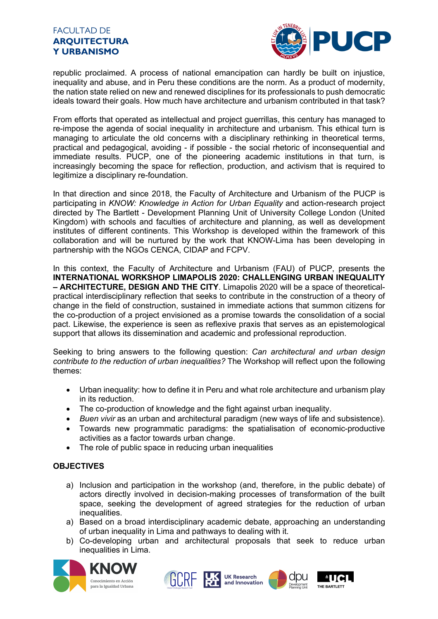## FACULTAD DE **ARQUITECTURA Y URBANISMO**



republic proclaimed. A process of national emancipation can hardly be built on injustice, inequality and abuse, and in Peru these conditions are the norm. As a product of modernity, the nation state relied on new and renewed disciplines for its professionals to push democratic ideals toward their goals. How much have architecture and urbanism contributed in that task?

From efforts that operated as intellectual and project guerrillas, this century has managed to re-impose the agenda of social inequality in architecture and urbanism. This ethical turn is managing to articulate the old concerns with a disciplinary rethinking in theoretical terms, practical and pedagogical, avoiding - if possible - the social rhetoric of inconsequential and immediate results. PUCP, one of the pioneering academic institutions in that turn, is increasingly becoming the space for reflection, production, and activism that is required to legitimize a disciplinary re-foundation.

In that direction and since 2018, the Faculty of Architecture and Urbanism of the PUCP is participating in *KNOW: Knowledge in Action for Urban Equality* and action-research project directed by The Bartlett - Development Planning Unit of University College London (United Kingdom) with schools and faculties of architecture and planning, as well as development institutes of different continents. This Workshop is developed within the framework of this collaboration and will be nurtured by the work that KNOW-Lima has been developing in partnership with the NGOs CENCA, CIDAP and FCPV.

In this context, the Faculty of Architecture and Urbanism (FAU) of PUCP, presents the **INTERNATIONAL WORKSHOP LIMAPOLIS 2020: CHALLENGING URBAN INEQUALITY – ARCHITECTURE, DESIGN AND THE CITY**. Limapolis 2020 will be a space of theoreticalpractical interdisciplinary reflection that seeks to contribute in the construction of a theory of change in the field of construction, sustained in immediate actions that summon citizens for the co-production of a project envisioned as a promise towards the consolidation of a social pact. Likewise, the experience is seen as reflexive praxis that serves as an epistemological support that allows its dissemination and academic and professional reproduction.

Seeking to bring answers to the following question: *Can architectural and urban design contribute to the reduction of urban inequalities?* The Workshop will reflect upon the following themes:

- Urban inequality: how to define it in Peru and what role architecture and urbanism play in its reduction.
- The co-production of knowledge and the fight against urban inequality.
- *Buen vivir* as an urban and architectural paradigm (new ways of life and subsistence).
- Towards new programmatic paradigms: the spatialisation of economic-productive activities as a factor towards urban change.
- The role of public space in reducing urban inequalities

# **OBJECTIVES**

- a) Inclusion and participation in the workshop (and, therefore, in the public debate) of actors directly involved in decision-making processes of transformation of the built space, seeking the development of agreed strategies for the reduction of urban inequalities.
- a) Based on a broad interdisciplinary academic debate, approaching an understanding of urban inequality in Lima and pathways to dealing with it.
- b) Co-developing urban and architectural proposals that seek to reduce urban inequalities in Lima.



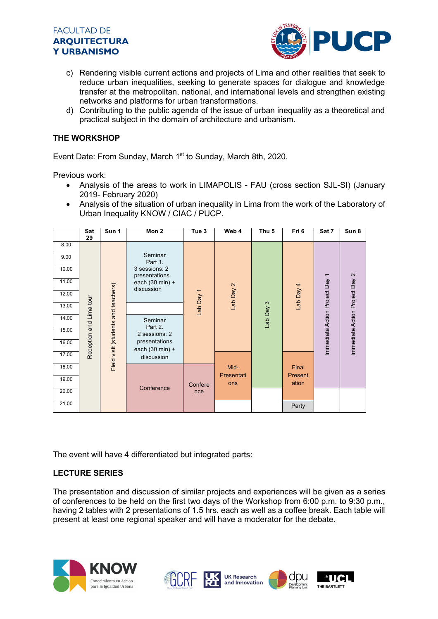



- c) Rendering visible current actions and projects of Lima and other realities that seek to reduce urban inequalities, seeking to generate spaces for dialogue and knowledge transfer at the metropolitan, national, and international levels and strengthen existing networks and platforms for urban transformations.
- d) Contributing to the public agenda of the issue of urban inequality as a theoretical and practical subject in the domain of architecture and urbanism.

### **THE WORKSHOP**

Event Date: From Sunday, March 1<sup>st</sup> to Sunday, March 8th, 2020.

Previous work:

- Analysis of the areas to work in LIMAPOLIS FAU (cross section SJL-SI) (January 2019- February 2020)
- Analysis of the situation of urban inequality in Lima from the work of the Laboratory of Urban Inequality KNOW / CIAC / PUCP.

|       | Sat<br>29               | Sun 1                               | Mon 2                                                                                 | Tue <sub>3</sub> | Web 4                     | Thu <sub>5</sub> | Fri 6                     | Sat 7                        | Sun 8                          |
|-------|-------------------------|-------------------------------------|---------------------------------------------------------------------------------------|------------------|---------------------------|------------------|---------------------------|------------------------------|--------------------------------|
| 8.00  |                         |                                     |                                                                                       |                  |                           |                  |                           |                              |                                |
| 9.00  |                         |                                     | Seminar<br>Part 1.                                                                    |                  |                           |                  |                           |                              |                                |
| 10.00 |                         |                                     | 3 sessions: 2<br>presentations                                                        |                  |                           |                  |                           | $\overline{\phantom{0}}$     |                                |
| 11.00 | Reception and Lima tour | Field visit (students and teachers) | each (30 min) +<br>discussion                                                         | Lab Day 1        | Lab Day 2                 | S<br>Lab Day     | 4 Yeq qe                  | Immediate Action Project Day | Immediate Action Project Day 2 |
| 12.00 |                         |                                     |                                                                                       |                  |                           |                  |                           |                              |                                |
| 13.00 |                         |                                     |                                                                                       |                  |                           |                  |                           |                              |                                |
| 14.00 |                         |                                     | Seminar<br>Part 2.<br>2 sessions: 2<br>presentations<br>each (30 min) +<br>discussion |                  |                           |                  |                           |                              |                                |
| 15.00 |                         |                                     |                                                                                       |                  |                           |                  |                           |                              |                                |
| 16.00 |                         |                                     |                                                                                       |                  |                           |                  |                           |                              |                                |
| 17.00 |                         |                                     |                                                                                       |                  | Mid-<br>Presentati<br>ons |                  | Final<br>Present<br>ation |                              |                                |
| 18.00 |                         |                                     | Conference                                                                            | Confere<br>nce   |                           |                  |                           |                              |                                |
| 19.00 |                         |                                     |                                                                                       |                  |                           |                  |                           |                              |                                |
| 20.00 |                         |                                     |                                                                                       |                  |                           |                  |                           |                              |                                |
| 21.00 |                         |                                     |                                                                                       |                  |                           |                  | Party                     |                              |                                |

The event will have 4 differentiated but integrated parts:

### **LECTURE SERIES**

The presentation and discussion of similar projects and experiences will be given as a series of conferences to be held on the first two days of the Workshop from 6:00 p.m. to 9:30 p.m., having 2 tables with 2 presentations of 1.5 hrs. each as well as a coffee break. Each table will present at least one regional speaker and will have a moderator for the debate.



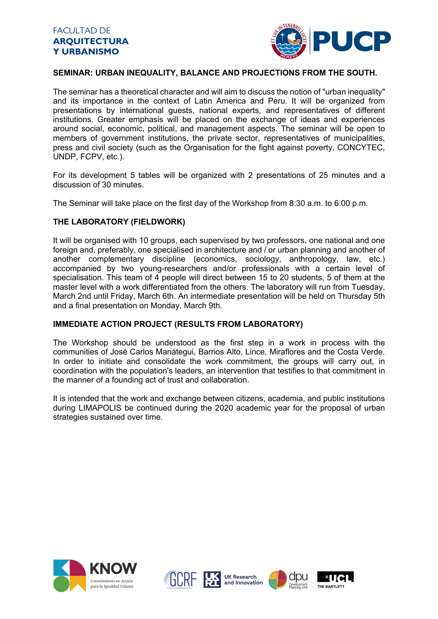

## **SEMINAR: URBAN INEQUALITY, BALANCE AND PROJECTIONS FROM THE SOUTH.**

The seminar has a theoretical character and will aim to discuss the notion of "urban inequality" and its importance in the context of Latin America and Peru. It will be organized from presentations by international guests, national experts, and representatives of different institutions. Greater emphasis will be placed on the exchange of ideas and experiences around social, economic, political, and management aspects. The seminar will be open to members of government institutions, the private sector, representatives of municipalities, press and civil society (such as the Organisation for the fight against poverty, CONCYTEC, UNDP, FCPV, etc.).

For its development 5 tables will be organized with 2 presentations of 25 minutes and a discussion of 30 minutes.

The Seminar will take place on the first day of the Workshop from 8:30 a.m. to 6:00 p.m.

### **THE LABORATORY (FIELDWORK)**

It will be organised with 10 groups, each supervised by two professors, one national and one foreign and, preferably, one specialised in architecture and / or urban planning and another of another complementary discipline (economics, sociology, anthropology, law, etc.) accompanied by two young-researchers and/or professionals with a certain level of specialisation. This team of 4 people will direct between 15 to 20 students, 5 of them at the master level with a work differentiated from the others. The laboratory will run from Tuesday, March 2nd until Friday, March 6th. An intermediate presentation will be held on Thursday 5th and a final presentation on Monday, March 9th.

### **IMMEDIATE ACTION PROJECT (RESULTS FROM LABORATORY)**

The Workshop should be understood as the first step in a work in process with the communities of José Carlos Mariátegui, Barrios Alto, Lince, Miraflores and the Costa Verde. In order to initiate and consolidate the work commitment, the groups will carry out, in coordination with the population's leaders, an intervention that testifies to that commitment in the manner of a founding act of trust and collaboration.

It is intended that the work and exchange between citizens, academia, and public institutions during LIMAPOLIS be continued during the 2020 academic year for the proposal of urban strategies sustained over time.